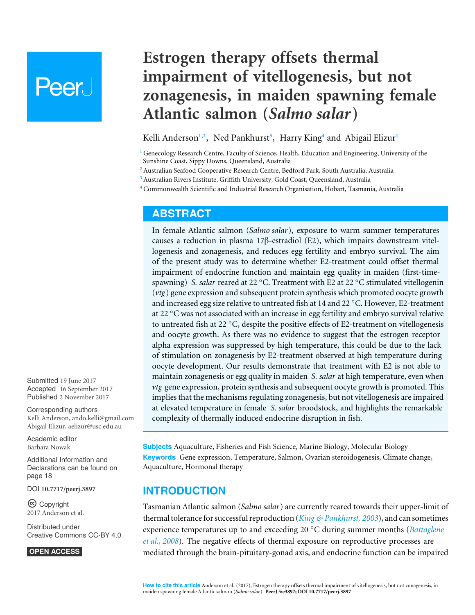# Peer.

# **Estrogen therapy offsets thermal impairment of vitellogenesis, but not zonagenesis, in maiden spawning female Atlantic salmon (***Salmo salar***)**

<span id="page-0-7"></span><span id="page-0-6"></span><span id="page-0-5"></span><span id="page-0-4"></span>Kelli Anderson**[1](#page-0-0)**,**[2](#page-0-1)** , Ned Pankhurst**[3](#page-0-2)** , Harry King**[4](#page-0-3)** and Abigail Elizur**[1](#page-0-0)**

<span id="page-0-0"></span>**<sup>1</sup>** Genecology Research Centre, Faculty of Science, Health, Education and Engineering, University of the Sunshine Coast, Sippy Downs, Queensland, Australia

<span id="page-0-1"></span>**<sup>2</sup>** Australian Seafood Cooperative Research Centre, Bedford Park, South Australia, Australia

<span id="page-0-2"></span>**<sup>3</sup>** Australian Rivers Institute, Griffith University, Gold Coast, Queensland, Australia

<span id="page-0-3"></span>**<sup>4</sup>** Commonwealth Scientific and Industrial Research Organisation, Hobart, Tasmania, Australia

## **ABSTRACT**

In female Atlantic salmon (*Salmo salar*), exposure to warm summer temperatures causes a reduction in plasma 17β-estradiol (E2), which impairs downstream vitellogenesis and zonagenesis, and reduces egg fertility and embryo survival. The aim of the present study was to determine whether E2-treatment could offset thermal impairment of endocrine function and maintain egg quality in maiden (first-timespawning) *S. salar* reared at 22 °C. Treatment with E2 at 22 °C stimulated vitellogenin (*vtg* ) gene expression and subsequent protein synthesis which promoted oocyte growth and increased egg size relative to untreated fish at 14 and 22 ◦C. However, E2-treatment at 22 °C was not associated with an increase in egg fertility and embryo survival relative to untreated fish at 22 ◦C, despite the positive effects of E2-treatment on vitellogenesis and oocyte growth. As there was no evidence to suggest that the estrogen receptor alpha expression was suppressed by high temperature, this could be due to the lack of stimulation on zonagenesis by E2-treatment observed at high temperature during oocyte development. Our results demonstrate that treatment with E2 is not able to maintain zonagenesis or egg quality in maiden *S. salar* at high temperature, even when *vtg* gene expression, protein synthesis and subsequent oocyte growth is promoted. This implies that the mechanisms regulating zonagenesis, but not vitellogenesis are impaired at elevated temperature in female *S. salar* broodstock, and highlights the remarkable complexity of thermally induced endocrine disruption in fish.

**Subjects** Aquaculture, Fisheries and Fish Science, Marine Biology, Molecular Biology **Keywords** Gene expression, Temperature, Salmon, Ovarian steroidogenesis, Climate change, Aquaculture, Hormonal therapy

# **INTRODUCTION**

Tasmanian Atlantic salmon (*Salmo salar*) are currently reared towards their upper-limit of thermal tolerance for successful reproduction (*[King & Pankhurst, 2003](#page-19-0)*), and can sometimes experience temperatures up to and exceeding 20 ◦C during summer months (*[Battaglene](#page-18-0) [et al., 2008](#page-18-0)*). The negative effects of thermal exposure on reproductive processes are mediated through the brain-pituitary-gonad axis, and endocrine function can be impaired

Submitted 19 June 2017 Accepted 16 September 2017 Published 2 November 2017

Corresponding authors Kelli Anderson, [ando.kelli@gmail.com](mailto:ando.kelli@gmail.com) Abigail Elizur, [aelizur@usc.edu.au](mailto:aelizur@usc.edu.au)

[Academic editor](https://peerj.com/academic-boards/editors/) [Barbara Nowak](https://peerj.com/academic-boards/editors/)

[Additional Information and](#page-17-0) [Declarations can be found on](#page-17-0) [page 18](#page-17-0)

DOI **[10.7717/peerj.3897](http://dx.doi.org/10.7717/peerj.3897)**

Copyright 2017 Anderson et al.

[Distributed under](http://creativecommons.org/licenses/by/4.0/) [Creative Commons CC-BY 4.0](http://creativecommons.org/licenses/by/4.0/)

**OPEN ACCESS**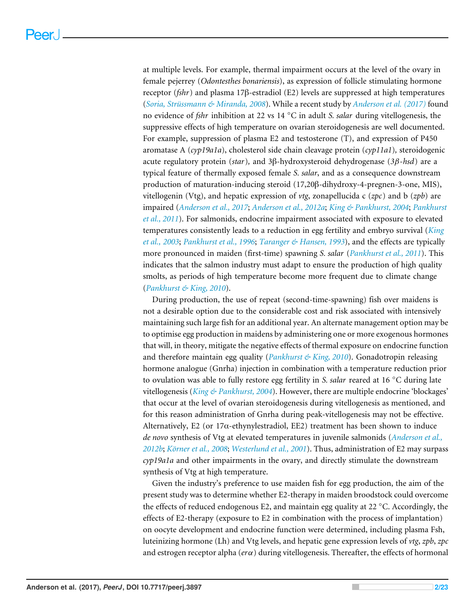at multiple levels. For example, thermal impairment occurs at the level of the ovary in female pejerrey (*Odontesthes bonariensis*), as expression of follicle stimulating hormone receptor (*fshr*) and plasma 17β-estradiol (E2) levels are suppressed at high temperatures (*[Soria, Strüssmann & Miranda, 2008](#page-21-0)*). While a recent study by *[Anderson et al. \(2017\)](#page-18-1)* found no evidence of *fshr* inhibition at 22 vs 14 ◦C in adult *S. salar* during vitellogenesis, the suppressive effects of high temperature on ovarian steroidogenesis are well documented. For example, suppression of plasma E2 and testosterone (T), and expression of P450 aromatase A (*cyp19a1a*), cholesterol side chain cleavage protein (*cyp11a1*)*,* steroidogenic acute regulatory protein (*star*)*,* and 3β-hydroxysteroid dehydrogenase (*3*β*-hsd*) are a typical feature of thermally exposed female *S. salar*, and as a consequence downstream production of maturation-inducing steroid (17,20β-dihydroxy-4-pregnen-3-one, MIS), vitellogenin (Vtg), and hepatic expression of *vtg*, zonapellucida c (*zpc*) and b (*zpb*) are impaired (*[Anderson et al., 2017](#page-18-1)*; *[Anderson et al., 2012a](#page-18-2)*; *[King & Pankhurst, 2004](#page-19-1)*; *[Pankhurst](#page-21-1) [et al., 2011](#page-21-1)*). For salmonids, endocrine impairment associated with exposure to elevated temperatures consistently leads to a reduction in egg fertility and embryo survival (*[King](#page-19-2) [et al.,](#page-19-2) [2003](#page-19-2)*; *[Pankhurst et al., 1996](#page-21-2)*; *[Taranger & Hansen, 1993](#page-22-0)*), and the effects are typically more pronounced in maiden (first-time) spawning *S. salar* (*[Pankhurst et al., 2011](#page-21-1)*). This indicates that the salmon industry must adapt to ensure the production of high quality smolts, as periods of high temperature become more frequent due to climate change (*[Pankhurst & King, 2010](#page-21-3)*).

During production, the use of repeat (second-time-spawning) fish over maidens is not a desirable option due to the considerable cost and risk associated with intensively maintaining such large fish for an additional year. An alternate management option may be to optimise egg production in maidens by administering one or more exogenous hormones that will, in theory, mitigate the negative effects of thermal exposure on endocrine function and therefore maintain egg quality (*[Pankhurst & King, 2010](#page-21-3)*). Gonadotropin releasing hormone analogue (Gnrha) injection in combination with a temperature reduction prior to ovulation was able to fully restore egg fertility in *S. salar* reared at 16 ◦C during late vitellogenesis (*[King & Pankhurst, 2004](#page-19-1)*). However, there are multiple endocrine 'blockages' that occur at the level of ovarian steroidogenesis during vitellogenesis as mentioned, and for this reason administration of Gnrha during peak-vitellogenesis may not be effective. Alternatively, E2 (or  $17\alpha$ -ethynylestradiol, EE2) treatment has been shown to induce *de novo* synthesis of Vtg at elevated temperatures in juvenile salmonids (*[Anderson et al.,](#page-18-3) [2012b](#page-18-3)*; *[Körner et al., 2008](#page-20-0)*; *[Westerlund et al., 2001](#page-22-1)*). Thus, administration of E2 may surpass *cyp19a1a* and other impairments in the ovary, and directly stimulate the downstream synthesis of Vtg at high temperature.

Given the industry's preference to use maiden fish for egg production, the aim of the present study was to determine whether E2-therapy in maiden broodstock could overcome the effects of reduced endogenous E2, and maintain egg quality at 22  $\degree$ C. Accordingly, the effects of E2-therapy (exposure to E2 in combination with the process of implantation) on oocyte development and endocrine function were determined, including plasma Fsh, luteinizing hormone (Lh) and Vtg levels, and hepatic gene expression levels of *vtg*, *zpb*, *zpc* and estrogen receptor alpha (*er*α) during vitellogenesis. Thereafter, the effects of hormonal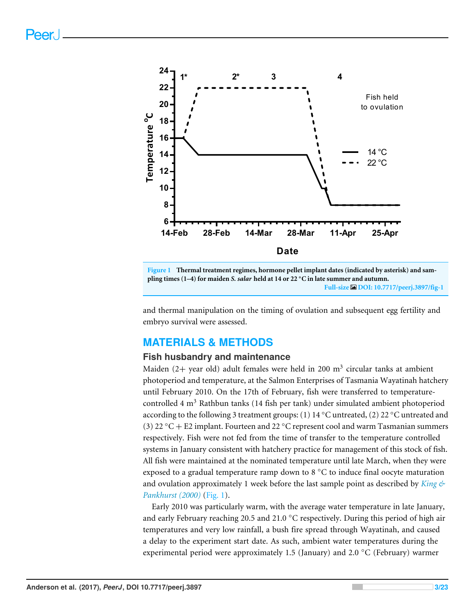<span id="page-2-0"></span>

**Figure 1 Thermal treatment regimes, hormone pellet implant dates (indicated by asterisk) and sampling times (1–4) for maiden** *S. salar* **held at 14 or 22** ◦**C in late summer and autumn. Full-size [DOI: 10.7717/peerj.3897/fig-1](https://doi.org/10.7717/peerj.3897/fig-1)**

and thermal manipulation on the timing of ovulation and subsequent egg fertility and embryo survival were assessed.

# **MATERIALS & METHODS**

#### **Fish husbandry and maintenance**

Maiden (2+ year old) adult females were held in 200  $\text{m}^{3}$  circular tanks at ambient photoperiod and temperature, at the Salmon Enterprises of Tasmania Wayatinah hatchery until February 2010. On the 17th of February, fish were transferred to temperaturecontrolled 4  $m<sup>3</sup>$  Rathbun tanks (14 fish per tank) under simulated ambient photoperiod according to the following 3 treatment groups: (1) 14 °C untreated, (2) 22 °C untreated and (3) 22 °C + E2 implant. Fourteen and 22 °C represent cool and warm Tasmanian summers respectively. Fish were not fed from the time of transfer to the temperature controlled systems in January consistent with hatchery practice for management of this stock of fish. All fish were maintained at the nominated temperature until late March, when they were exposed to a gradual temperature ramp down to 8 ◦C to induce final oocyte maturation and ovulation approximately 1 week before the last sample point as described by *[King &](#page-19-3) [Pankhurst \(2000\)](#page-19-3)* [\(Fig. 1\)](#page-2-0).

Early 2010 was particularly warm, with the average water temperature in late January, and early February reaching 20.5 and 21.0  $\degree$ C respectively. During this period of high air temperatures and very low rainfall, a bush fire spread through Wayatinah, and caused a delay to the experiment start date. As such, ambient water temperatures during the experimental period were approximately 1.5 (January) and 2.0 ◦C (February) warmer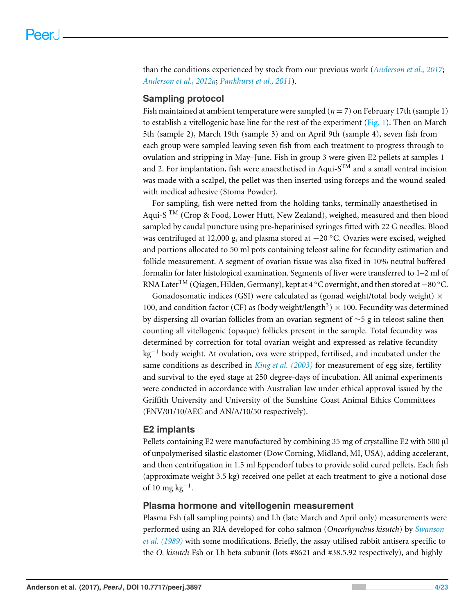than the conditions experienced by stock from our previous work (*[Anderson et al., 2017](#page-18-1)*; *[Anderson et al., 2012a](#page-18-2)*; *[Pankhurst et al., 2011](#page-21-1)*).

#### **Sampling protocol**

Fish maintained at ambient temperature were sampled (*n* = 7) on February 17th (sample 1) to establish a vitellogenic base line for the rest of the experiment [\(Fig. 1\)](#page-2-0). Then on March 5th (sample 2), March 19th (sample 3) and on April 9th (sample 4), seven fish from each group were sampled leaving seven fish from each treatment to progress through to ovulation and stripping in May–June. Fish in group 3 were given E2 pellets at samples 1 and 2. For implantation, fish were anaesthetised in Aqui- $S^{TM}$  and a small ventral incision was made with a scalpel, the pellet was then inserted using forceps and the wound sealed with medical adhesive (Stoma Powder).

For sampling, fish were netted from the holding tanks, terminally anaesthetised in Aqui-S  $<sup>TM</sup>$  (Crop & Food, Lower Hutt, New Zealand), weighed, measured and then blood</sup> sampled by caudal puncture using pre-heparinised syringes fitted with 22 G needles. Blood was centrifuged at 12,000 g, and plasma stored at −20 ◦C. Ovaries were excised, weighed and portions allocated to 50 ml pots containing teleost saline for fecundity estimation and follicle measurement. A segment of ovarian tissue was also fixed in 10% neutral buffered formalin for later histological examination. Segments of liver were transferred to 1–2 ml of RNA Later<sup>TM</sup> (Qiagen, Hilden, Germany), kept at 4 °C overnight, and then stored at −80 °C.

Gonadosomatic indices (GSI) were calculated as (gonad weight/total body weight)  $\times$ 100, and condition factor (CF) as (body weight/length<sup>3</sup>)  $\times$  100. Fecundity was determined by dispersing all ovarian follicles from an ovarian segment of ∼5 g in teleost saline then counting all vitellogenic (opaque) follicles present in the sample. Total fecundity was determined by correction for total ovarian weight and expressed as relative fecundity  $kg^{-1}$  body weight. At ovulation, ova were stripped, fertilised, and incubated under the same conditions as described in *[King et al.](#page-19-2) [\(2003\)](#page-19-2)* for measurement of egg size, fertility and survival to the eyed stage at 250 degree-days of incubation. All animal experiments were conducted in accordance with Australian law under ethical approval issued by the Griffith University and University of the Sunshine Coast Animal Ethics Committees (ENV/01/10/AEC and AN/A/10/50 respectively).

#### **E2 implants**

Pellets containing E2 were manufactured by combining 35 mg of crystalline E2 with 500 µl of unpolymerised silastic elastomer (Dow Corning, Midland, MI, USA), adding accelerant, and then centrifugation in 1.5 ml Eppendorf tubes to provide solid cured pellets. Each fish (approximate weight 3.5 kg) received one pellet at each treatment to give a notional dose of 10 mg  $\text{kg}^{-1}$ .

#### **Plasma hormone and vitellogenin measurement**

Plasma Fsh (all sampling points) and Lh (late March and April only) measurements were performed using an RIA developed for coho salmon (*Oncorhynchus kisutch*) by *[Swanson](#page-21-4) [et al. \(1989\)](#page-21-4)* with some modifications. Briefly, the assay utilised rabbit antisera specific to the *O. kisutch* Fsh or Lh beta subunit (lots #8621 and #38.5.92 respectively), and highly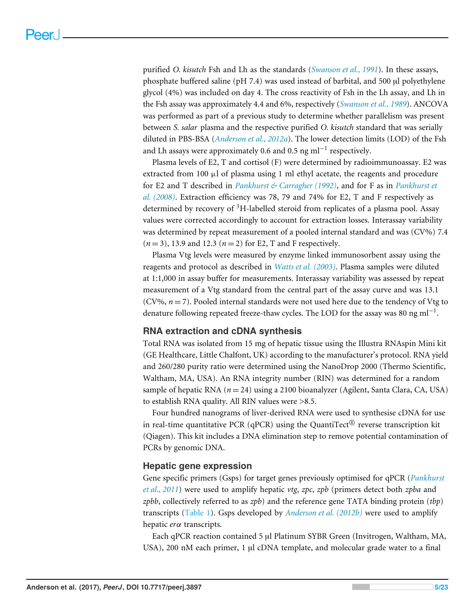purified *O. kisutch* Fsh and Lh as the standards (*[Swanson et al., 1991](#page-21-5)*). In these assays, phosphate buffered saline (pH 7.4) was used instead of barbital, and 500 µl polyethylene glycol (4%) was included on day 4. The cross reactivity of Fsh in the Lh assay, and Lh in the Fsh assay was approximately 4.4 and 6%, respectively (*[Swanson et al., 1989](#page-21-4)*). ANCOVA was performed as part of a previous study to determine whether parallelism was present between *S. salar* plasma and the respective purified *O. kisutch* standard that was serially diluted in PBS-BSA (*[Anderson et al., 2012a](#page-18-2)*). The lower detection limits (LOD) of the Fsh and Lh assays were approximately 0.6 and 0.5  $\mathrm{ng\,ml^{-1}}$  respectively.

Plasma levels of E2, T and cortisol (F) were determined by radioimmunoassay. E2 was extracted from 100  $\mu$ l of plasma using 1 ml ethyl acetate, the reagents and procedure for E2 and T described in *[Pankhurst & Carragher \(1992\)](#page-20-1)*, and for F as in *[Pankhurst et](#page-21-6) [al. \(2008\)](#page-21-6)*. Extraction efficiency was 78, 79 and 74% for E2, T and F respectively as determined by recovery of <sup>3</sup>H-labelled steroid from replicates of a plasma pool. Assay values were corrected accordingly to account for extraction losses. Interassay variability was determined by repeat measurement of a pooled internal standard and was (CV%) 7.4 (*n* = 3), 13.9 and 12.3 (*n* = 2) for E2, T and F respectively.

Plasma Vtg levels were measured by enzyme linked immunosorbent assay using the reagents and protocol as described in *[Watts et al. \(2003\)](#page-22-2)*. Plasma samples were diluted at 1:1,000 in assay buffer for measurements. Interassay variability was assessed by repeat measurement of a Vtg standard from the central part of the assay curve and was 13.1 (CV%, *n* = 7). Pooled internal standards were not used here due to the tendency of Vtg to denature following repeated freeze-thaw cycles. The LOD for the assay was 80 ng ml<sup>-1</sup>.

#### **RNA extraction and cDNA synthesis**

Total RNA was isolated from 15 mg of hepatic tissue using the Illustra RNAspin Mini kit (GE Healthcare, Little Chalfont, UK) according to the manufacturer's protocol. RNA yield and 260/280 purity ratio were determined using the NanoDrop 2000 (Thermo Scientific, Waltham, MA, USA). An RNA integrity number (RIN) was determined for a random sample of hepatic RNA (*n* = 24) using a 2100 bioanalyzer (Agilent, Santa Clara, CA, USA) to establish RNA quality. All RIN values were >8.5.

Four hundred nanograms of liver-derived RNA were used to synthesise cDNA for use in real-time quantitative PCR (qPCR) using the QuantiTect<sup>®</sup> reverse transcription kit (Qiagen). This kit includes a DNA elimination step to remove potential contamination of PCRs by genomic DNA.

#### **Hepatic gene expression**

Gene specific primers (Gsps) for target genes previously optimised for qPCR (*[Pankhurst](#page-21-1) [et al., 2011](#page-21-1)*) were used to amplify hepatic *vtg*, *zpc*, *zpb* (primers detect both *zpba* and *zpbb*, collectively referred to as *zpb*) and the reference gene TATA binding protein (*tbp*) transcripts [\(Table 1\)](#page-5-0). Gsps developed by *[Anderson et al. \(2012b\)](#page-18-3)* were used to amplify hepatic *er*α transcripts.

Each qPCR reaction contained 5 µl Platinum SYBR Green (Invitrogen, Waltham, MA, USA), 200 nM each primer, 1 µl cDNA template, and molecular grade water to a final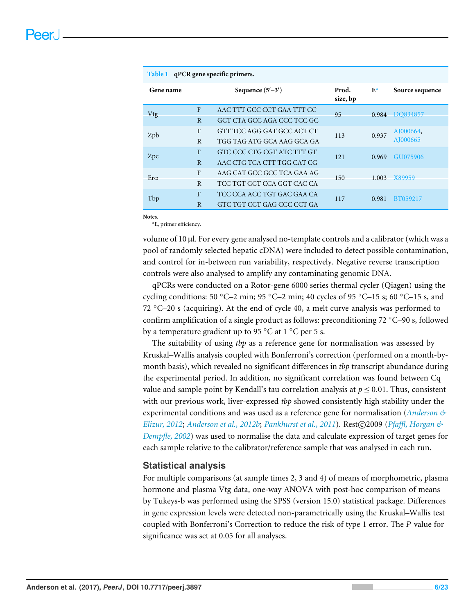<span id="page-5-0"></span>

| qPCR gene specific primers.<br>Table 1 |                |                            |                   |       |                       |
|----------------------------------------|----------------|----------------------------|-------------------|-------|-----------------------|
| Gene name                              |                | Sequence $(5'-3')$         | Prod.<br>size, bp | $E^a$ | Source sequence       |
| Vtg                                    | $\mathbf{F}$   | AAC TTT GCC CCT GAA TTT GC | 95                | 0.984 | DO834857              |
|                                        | $\overline{R}$ | GCT CTA GCC AGA CCC TCC GC |                   |       |                       |
| Zpb                                    | $\mathbf{F}$   | GTT TCC AGG GAT GCC ACT CT | 113               | 0.937 | AJ000664,<br>AJ000665 |
|                                        | R              | TGG TAG ATG GCA AAG GCA GA |                   |       |                       |
| Zpc                                    | $\mathbf{F}$   | GTC CCC CTG CGT ATC TTT GT | 121               | 0.969 | GU075906              |
|                                        | $\overline{R}$ | AAC CTG TCA CTT TGG CAT CG |                   |       |                       |
| Era                                    | $\mathbf{F}$   | AAG CAT GCC GCC TCA GAA AG | 150               | 1.003 | X89959                |
|                                        | R              | TCC TGT GCT CCA GGT CAC CA |                   |       |                       |
| Tbp                                    | F              | TCC CCA ACC TGT GAC GAA CA | 117               | 0.981 | BT059217              |
|                                        | $\overline{R}$ | GTC TGT CCT GAG CCC CCT GA |                   |       |                       |

**Notes.**

<span id="page-5-1"></span><sup>a</sup>E, primer efficiency.

volume of 10 µl. For every gene analysed no-template controls and a calibrator (which was a pool of randomly selected hepatic cDNA) were included to detect possible contamination, and control for in-between run variability, respectively. Negative reverse transcription controls were also analysed to amplify any contaminating genomic DNA.

qPCRs were conducted on a Rotor-gene 6000 series thermal cycler (Qiagen) using the cycling conditions: 50 °C–2 min; 95 °C–2 min; 40 cycles of 95 °C–15 s; 60 °C–15 s, and 72  $\degree$ C–20 s (acquiring). At the end of cycle 40, a melt curve analysis was performed to confirm amplification of a single product as follows: preconditioning 72 ◦C–90 s, followed by a temperature gradient up to 95 ◦C at 1 ◦C per 5 s.

The suitability of using *tbp* as a reference gene for normalisation was assessed by Kruskal–Wallis analysis coupled with Bonferroni's correction (performed on a month-bymonth basis), which revealed no significant differences in *tbp* transcript abundance during the experimental period. In addition, no significant correlation was found between Cq value and sample point by Kendall's tau correlation analysis at  $p \leq 0.01$ . Thus, consistent with our previous work, liver-expressed *tbp* showed consistently high stability under the experimental conditions and was used as a reference gene for normalisation (*[Anderson &](#page-18-4) [Elizur, 2012](#page-18-4); [Anderson et al., 2012b](#page-18-3); [Pankhurst et al., 2011](#page-21-1)*). Rest©2009 (*Pfaffl, Horgan* & *[Dempfle, 2002](#page-21-7)*) was used to normalise the data and calculate expression of target genes for each sample relative to the calibrator/reference sample that was analysed in each run.

#### **Statistical analysis**

For multiple comparisons (at sample times 2, 3 and 4) of means of morphometric, plasma hormone and plasma Vtg data, one-way ANOVA with post-hoc comparison of means by Tukeys-b was performed using the SPSS (version 15.0) statistical package. Differences in gene expression levels were detected non-parametrically using the Kruskal–Wallis test coupled with Bonferroni's Correction to reduce the risk of type 1 error. The *P* value for significance was set at 0.05 for all analyses.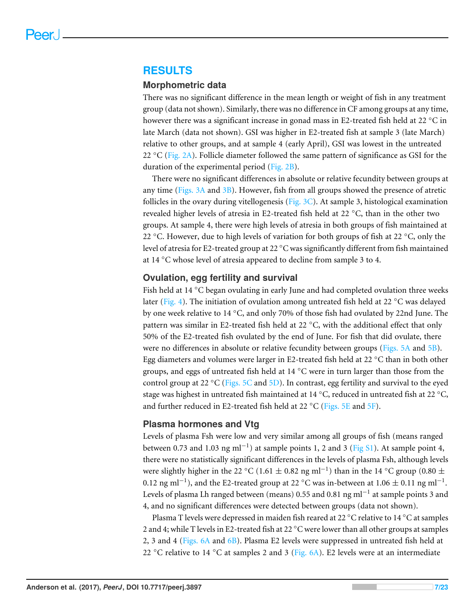#### **RESULTS**

#### **Morphometric data**

There was no significant difference in the mean length or weight of fish in any treatment group (data not shown). Similarly, there was no difference in CF among groups at any time, however there was a significant increase in gonad mass in E2-treated fish held at 22 ◦C in late March (data not shown). GSI was higher in E2-treated fish at sample 3 (late March) relative to other groups, and at sample 4 (early April), GSI was lowest in the untreated 22  $\degree$ C [\(Fig. 2A\)](#page-7-0). Follicle diameter followed the same pattern of significance as GSI for the duration of the experimental period [\(Fig. 2B\)](#page-7-0).

There were no significant differences in absolute or relative fecundity between groups at any time [\(Figs. 3A](#page-8-0) and [3B\)](#page-8-0). However, fish from all groups showed the presence of atretic follicles in the ovary during vitellogenesis (Fig.  $3C$ ). At sample 3, histological examination revealed higher levels of atresia in E2-treated fish held at 22 ◦C, than in the other two groups. At sample 4, there were high levels of atresia in both groups of fish maintained at 22 °C. However, due to high levels of variation for both groups of fish at 22 °C, only the level of atresia for E2-treated group at 22 °C was significantly different from fish maintained at 14 ◦C whose level of atresia appeared to decline from sample 3 to 4.

#### **Ovulation, egg fertility and survival**

Fish held at 14 ◦C began ovulating in early June and had completed ovulation three weeks later [\(Fig. 4\)](#page-9-0). The initiation of ovulation among untreated fish held at 22 °C was delayed by one week relative to 14  $°C$ , and only 70% of those fish had ovulated by 22nd June. The pattern was similar in E2-treated fish held at 22 ◦C, with the additional effect that only 50% of the E2-treated fish ovulated by the end of June. For fish that did ovulate, there were no differences in absolute or relative fecundity between groups [\(Figs. 5A](#page-10-0) and [5B\)](#page-10-0). Egg diameters and volumes were larger in E2-treated fish held at 22 ◦C than in both other groups, and eggs of untreated fish held at  $14 °C$  were in turn larger than those from the control group at 22 °C [\(Figs. 5C](#page-10-0) and [5D\)](#page-10-0). In contrast, egg fertility and survival to the eyed stage was highest in untreated fish maintained at 14 ◦C, reduced in untreated fish at 22 ◦C, and further reduced in E2-treated fish held at 22  $^{\circ}$ C [\(Figs. 5E](#page-10-0) and [5F\)](#page-10-0).

#### **Plasma hormones and Vtg**

Levels of plasma Fsh were low and very similar among all groups of fish (means ranged between 0.73 and 1.03 ng ml<sup>-1</sup>) at sample points 1, 2 and 3 [\(Fig S1\)](http://dx.doi.org/10.7717/peerj.3897#supp-1). At sample point 4, there were no statistically significant differences in the levels of plasma Fsh, although levels were slightly higher in the 22 °C (1.61  $\pm$  0.82 ng ml<sup>-1</sup>) than in the 14 °C group (0.80  $\pm$ 0.12 ng ml<sup>-1</sup>), and the E2-treated group at 22 °C was in-between at 1.06  $\pm$  0.11 ng ml<sup>-1</sup>. Levels of plasma Lh ranged between (means) 0.55 and 0.81  $\mathrm{ng}\,\mathrm{ml}^{-1}$  at sample points 3 and 4, and no significant differences were detected between groups (data not shown).

Plasma T levels were depressed in maiden fish reared at 22 ◦C relative to 14 ◦C at samples 2 and 4; while T levels in E2-treated fish at 22 °C were lower than all other groups at samples 2, 3 and 4 [\(Figs. 6A](#page-11-0) and [6B\)](#page-11-0). Plasma E2 levels were suppressed in untreated fish held at 22 °C relative to 14 °C at samples 2 and 3 [\(Fig. 6A\)](#page-11-0). E2 levels were at an intermediate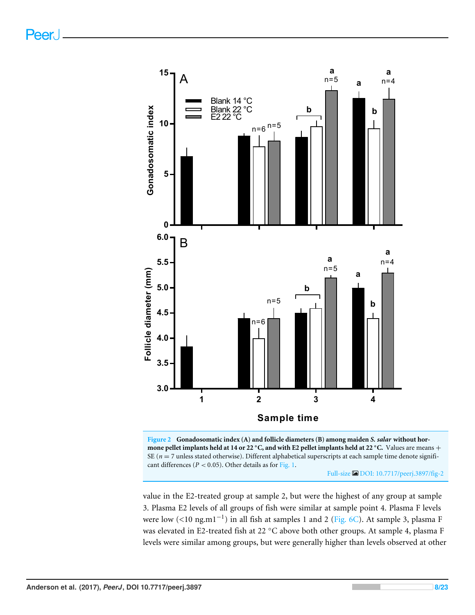Peer.

<span id="page-7-0"></span>



Full-size [DOI: 10.7717/peerj.3897/fig-2](https://doi.org/10.7717/peerj.3897/fig-2)

value in the E2-treated group at sample 2, but were the highest of any group at sample 3. Plasma E2 levels of all groups of fish were similar at sample point 4. Plasma F levels were low (<10 ng.m1<sup>-1</sup>) in all fish at samples 1 and 2 [\(Fig. 6C\)](#page-11-0). At sample 3, plasma F was elevated in E2-treated fish at 22 °C above both other groups. At sample 4, plasma F levels were similar among groups, but were generally higher than levels observed at other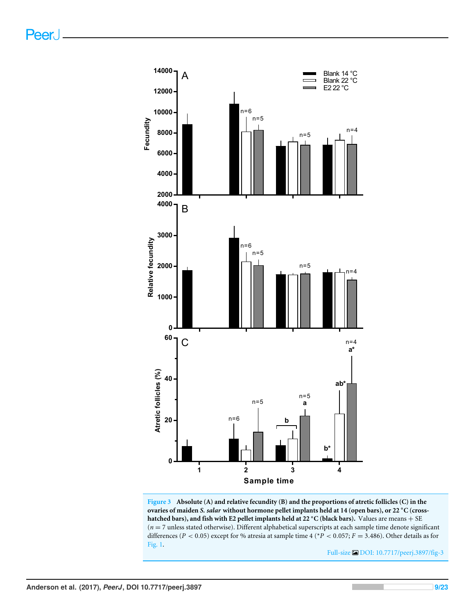<span id="page-8-0"></span>

**Figure 3 Absolute (A) and relative fecundity (B) and the proportions of atretic follicles (C) in the ovaries of maiden** *S. salar* **without hormone pellet implants held at 14 (open bars), or 22** ◦**C (crosshatched bars), and fish with E2 pellet implants held at 22** ◦**C (black bars).** Values are means + SE (*n* = 7 unless stated otherwise). Different alphabetical superscripts at each sample time denote significant differences (*P* < 0.05) except for % atresia at sample time 4 (\**P* < 0.057; *F* = 3.486). Other details as for [Fig. 1.](#page-2-0)

Full-size [DOI: 10.7717/peerj.3897/fig-3](https://doi.org/10.7717/peerj.3897/fig-3)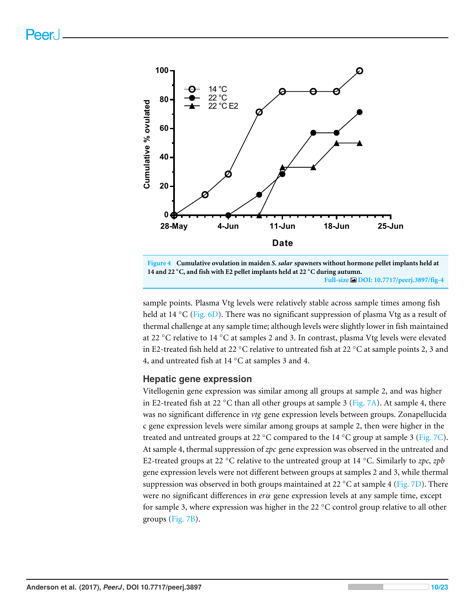<span id="page-9-0"></span>

**Figure 4 Cumulative ovulation in maiden** *S. salar* **spawners without hormone pellet implants held at 14 and 22** ◦**C, and fish with E2 pellet implants held at 22** ◦**C during autumn. Full-size [DOI: 10.7717/peerj.3897/fig-4](https://doi.org/10.7717/peerj.3897/fig-4)**

sample points. Plasma Vtg levels were relatively stable across sample times among fish held at 14 °C [\(Fig. 6D\)](#page-11-0). There was no significant suppression of plasma Vtg as a result of thermal challenge at any sample time; although levels were slightly lower in fish maintained at 22 ◦C relative to 14 ◦C at samples 2 and 3. In contrast, plasma Vtg levels were elevated in E2-treated fish held at 22 ◦C relative to untreated fish at 22 ◦C at sample points 2, 3 and 4, and untreated fish at 14 ◦C at samples 3 and 4.

#### **Hepatic gene expression**

Vitellogenin gene expression was similar among all groups at sample 2, and was higher in E2-treated fish at 22  $\degree$ C than all other groups at sample 3 [\(Fig. 7A\)](#page-12-0). At sample 4, there was no significant difference in *vtg* gene expression levels between groups. Zonapellucida c gene expression levels were similar among groups at sample 2, then were higher in the treated and untreated groups at 22  $\degree$ C compared to the 14  $\degree$ C group at sample 3 [\(Fig. 7C\)](#page-12-0). At sample 4, thermal suppression of *zpc* gene expression was observed in the untreated and E2-treated groups at 22 ◦C relative to the untreated group at 14 ◦C. Similarly to *zpc*, *zpb* gene expression levels were not different between groups at samples 2 and 3, while thermal suppression was observed in both groups maintained at 22 °C at sample 4 [\(Fig. 7D\)](#page-12-0). There were no significant differences in *er*α gene expression levels at any sample time, except for sample 3, where expression was higher in the 22  $\degree$ C control group relative to all other groups [\(Fig. 7B\)](#page-12-0).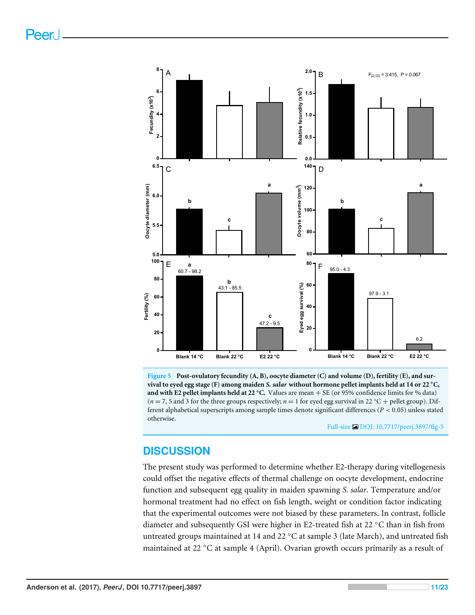<span id="page-10-0"></span>

**Figure 5 Post-ovulatory fecundity (A, B), oocyte diameter (C) and volume (D), fertility (E), and survival to eyed egg stage (F) among maiden** *S. salar* **without hormone pellet implants held at 14 or 22** ◦**C, and with E2 pellet implants held at 22** ◦**C.** Values are mean + SE (or 95% confidence limits for % data)  $(n=7, 5 \text{ and } 3 \text{ for the three groups respectively}; n=1 \text{ for eved egg survival in } 22 \text{ °C} + \text{ pellet group}).$  Different alphabetical superscripts among sample times denote significant differences (*P* < 0.05) unless stated otherwise.

Full-size [DOI: 10.7717/peerj.3897/fig-5](https://doi.org/10.7717/peerj.3897/fig-5)

# **DISCUSSION**

The present study was performed to determine whether E2-therapy during vitellogenesis could offset the negative effects of thermal challenge on oocyte development, endocrine function and subsequent egg quality in maiden spawning *S. salar*. Temperature and/or hormonal treatment had no effect on fish length, weight or condition factor indicating that the experimental outcomes were not biased by these parameters. In contrast, follicle diameter and subsequently GSI were higher in E2-treated fish at 22 ◦C than in fish from untreated groups maintained at 14 and 22 ◦C at sample 3 (late March), and untreated fish maintained at 22 ◦C at sample 4 (April). Ovarian growth occurs primarily as a result of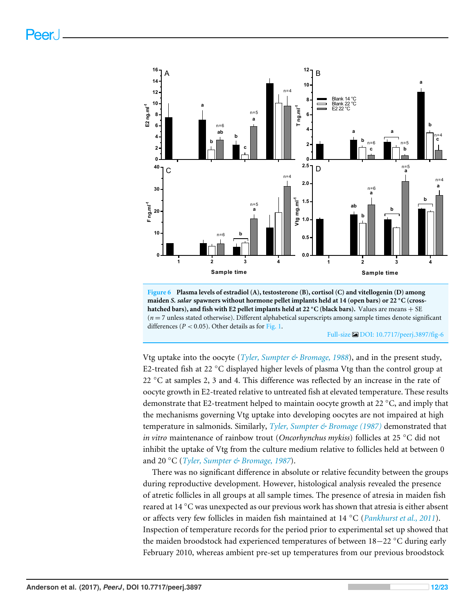<span id="page-11-0"></span>

**Figure 6 Plasma levels of estradiol (A), testosterone (B), cortisol (C) and vitellogenin (D) among maiden** *S. salar* **spawners without hormone pellet implants held at 14 (open bars) or 22** ◦**C (crosshatched bars), and fish with E2 pellet implants held at 22** ◦**C (black bars).** Values are means + SE (*n* = 7 unless stated otherwise). Different alphabetical superscripts among sample times denote significant differences ( $P < 0.05$ ). Other details as for [Fig. 1.](#page-2-0)

Full-size [DOI: 10.7717/peerj.3897/fig-6](https://doi.org/10.7717/peerj.3897/fig-6)

Vtg uptake into the oocyte (*[Tyler, Sumpter & Bromage, 1988](#page-22-3)*), and in the present study, E2-treated fish at 22 °C displayed higher levels of plasma Vtg than the control group at 22 °C at samples 2, 3 and 4. This difference was reflected by an increase in the rate of oocyte growth in E2-treated relative to untreated fish at elevated temperature. These results demonstrate that E2-treatment helped to maintain oocyte growth at 22 ◦C, and imply that the mechanisms governing Vtg uptake into developing oocytes are not impaired at high temperature in salmonids. Similarly, *[Tyler, Sumpter & Bromage \(1987\)](#page-22-4)* demonstrated that *in vitro* maintenance of rainbow trout (*Oncorhynchus mykiss*) follicles at 25 ◦C did not inhibit the uptake of Vtg from the culture medium relative to follicles held at between 0 and 20 ◦C (*[Tyler, Sumpter & Bromage, 1987](#page-22-4)*).

There was no significant difference in absolute or relative fecundity between the groups during reproductive development. However, histological analysis revealed the presence of atretic follicles in all groups at all sample times. The presence of atresia in maiden fish reared at 14 ◦C was unexpected as our previous work has shown that atresia is either absent or affects very few follicles in maiden fish maintained at 14 ◦C (*[Pankhurst et al., 2011](#page-21-1)*). Inspection of temperature records for the period prior to experimental set up showed that the maiden broodstock had experienced temperatures of between 18−22 ◦C during early February 2010, whereas ambient pre-set up temperatures from our previous broodstock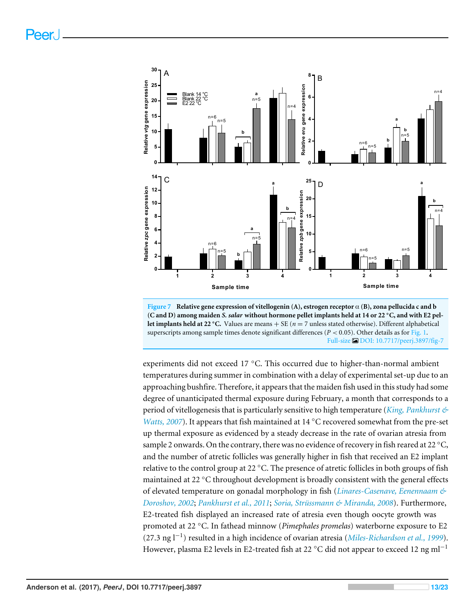<span id="page-12-0"></span>

**Figure 7 Relative gene expression of vitellogenin (A), estrogen receptor** α **(B), zona pellucida c and b (C and D) among maiden** *S. salar* **without hormone pellet implants held at 14 or 22** ◦**C, and with E2 pellet implants held at 22 °C.** Values are means  $+$  SE ( $n = 7$  unless stated otherwise). Different alphabetical superscripts among sample times denote significant differences ( $P < 0.05$ ). Other details as for [Fig. 1.](#page-2-0) Full-size [DOI: 10.7717/peerj.3897/fig-7](https://doi.org/10.7717/peerj.3897/fig-7)

experiments did not exceed 17 ◦C. This occurred due to higher-than-normal ambient temperatures during summer in combination with a delay of experimental set-up due to an approaching bushfire. Therefore, it appears that the maiden fish used in this study had some degree of unanticipated thermal exposure during February, a month that corresponds to a period of vitellogenesis that is particularly sensitive to high temperature (*[King, Pankhurst &](#page-19-4) [Watts, 2007](#page-19-4)*). It appears that fish maintained at 14 °C recovered somewhat from the pre-set up thermal exposure as evidenced by a steady decrease in the rate of ovarian atresia from sample 2 onwards. On the contrary, there was no evidence of recovery in fish reared at  $22 °C$ , and the number of atretic follicles was generally higher in fish that received an E2 implant relative to the control group at 22  $\degree$ C. The presence of atretic follicles in both groups of fish maintained at 22 ◦C throughout development is broadly consistent with the general effects of elevated temperature on gonadal morphology in fish (*[Linares-Casenave, Eenennaam &](#page-20-2) [Doroshov, 2002](#page-20-2)*; *[Pankhurst et al., 2011](#page-21-1)*; *[Soria, Strüssmann & Miranda, 2008](#page-21-0)*). Furthermore, E2-treated fish displayed an increased rate of atresia even though oocyte growth was promoted at 22 ◦C. In fathead minnow (*Pimephales promelas*) waterborne exposure to E2 (27.3 ng l−<sup>1</sup> ) resulted in a high incidence of ovarian atresia (*[Miles-Richardson et al., 1999](#page-20-3)*). However, plasma E2 levels in E2-treated fish at 22 °C did not appear to exceed 12 ng ml<sup>-1</sup>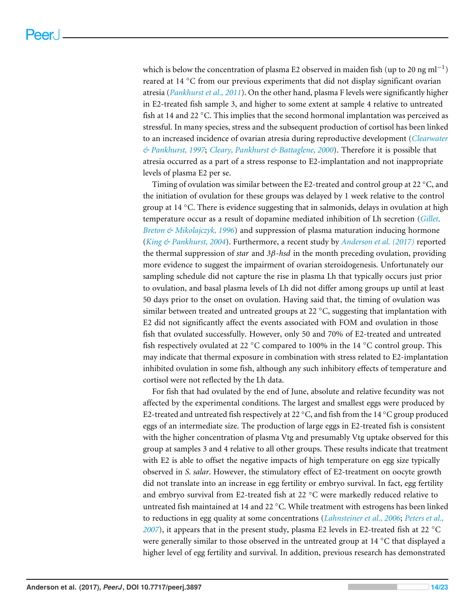which is below the concentration of plasma E2 observed in maiden fish (up to 20 ng ml<sup>-1</sup>) reared at 14 ◦C from our previous experiments that did not display significant ovarian atresia (*[Pankhurst et al., 2011](#page-21-1)*). On the other hand, plasma F levels were significantly higher in E2-treated fish sample 3, and higher to some extent at sample 4 relative to untreated fish at 14 and 22  $\degree$ C. This implies that the second hormonal implantation was perceived as stressful. In many species, stress and the subsequent production of cortisol has been linked to an increased incidence of ovarian atresia during reproductive development (*[Clearwater](#page-18-5) [& Pankhurst, 1997](#page-18-5)*; *[Cleary, Pankhurst & Battaglene, 2000](#page-19-5)*). Therefore it is possible that atresia occurred as a part of a stress response to E2-implantation and not inappropriate levels of plasma E2 per se.

Timing of ovulation was similar between the E2-treated and control group at 22  $^{\circ}$ C, and the initiation of ovulation for these groups was delayed by 1 week relative to the control group at 14  $\degree$ C. There is evidence suggesting that in salmonids, delays in ovulation at high temperature occur as a result of dopamine mediated inhibition of Lh secretion (*[Gillet,](#page-19-6) [Breton & Mikolajczyk, 1996](#page-19-6)*) and suppression of plasma maturation inducing hormone (*[King & Pankhurst, 2004](#page-19-1)*). Furthermore, a recent study by *[Anderson et al. \(2017\)](#page-18-1)* reported the thermal suppression of *star* and *3*β*-hsd* in the month preceding ovulation, providing more evidence to suggest the impairment of ovarian steroidogenesis. Unfortunately our sampling schedule did not capture the rise in plasma Lh that typically occurs just prior to ovulation, and basal plasma levels of Lh did not differ among groups up until at least 50 days prior to the onset on ovulation. Having said that, the timing of ovulation was similar between treated and untreated groups at 22  $°C$ , suggesting that implantation with E2 did not significantly affect the events associated with FOM and ovulation in those fish that ovulated successfully. However, only 50 and 70% of E2-treated and untreated fish respectively ovulated at 22 ◦C compared to 100% in the 14 ◦C control group. This may indicate that thermal exposure in combination with stress related to E2-implantation inhibited ovulation in some fish, although any such inhibitory effects of temperature and cortisol were not reflected by the Lh data.

For fish that had ovulated by the end of June, absolute and relative fecundity was not affected by the experimental conditions. The largest and smallest eggs were produced by E2-treated and untreated fish respectively at 22 °C, and fish from the 14 °C group produced eggs of an intermediate size. The production of large eggs in E2-treated fish is consistent with the higher concentration of plasma Vtg and presumably Vtg uptake observed for this group at samples 3 and 4 relative to all other groups. These results indicate that treatment with E2 is able to offset the negative impacts of high temperature on egg size typically observed in *S. salar*. However, the stimulatory effect of E2-treatment on oocyte growth did not translate into an increase in egg fertility or embryo survival. In fact, egg fertility and embryo survival from E2-treated fish at 22 ◦C were markedly reduced relative to untreated fish maintained at 14 and 22 ◦C. While treatment with estrogens has been linked to reductions in egg quality at some concentrations (*[Lahnsteiner et al., 2006](#page-20-4)*; *[Peters et al.,](#page-21-8) [2007](#page-21-8)*), it appears that in the present study, plasma E2 levels in E2-treated fish at 22 ◦C were generally similar to those observed in the untreated group at  $14 \degree C$  that displayed a higher level of egg fertility and survival. In addition, previous research has demonstrated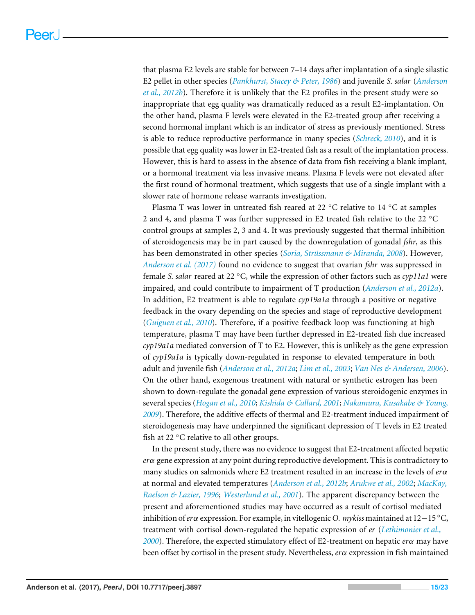that plasma E2 levels are stable for between 7–14 days after implantation of a single silastic E2 pellet in other species (*[Pankhurst, Stacey & Peter, 1986](#page-21-9)*) and juvenile *S. salar* (*[Anderson](#page-18-3) [et al., 2012b](#page-18-3)*). Therefore it is unlikely that the E2 profiles in the present study were so inappropriate that egg quality was dramatically reduced as a result E2-implantation. On the other hand, plasma F levels were elevated in the E2-treated group after receiving a second hormonal implant which is an indicator of stress as previously mentioned. Stress is able to reduce reproductive performance in many species (*[Schreck, 2010](#page-21-10)*), and it is possible that egg quality was lower in E2-treated fish as a result of the implantation process. However, this is hard to assess in the absence of data from fish receiving a blank implant, or a hormonal treatment via less invasive means. Plasma F levels were not elevated after the first round of hormonal treatment, which suggests that use of a single implant with a slower rate of hormone release warrants investigation.

Plasma T was lower in untreated fish reared at 22 ◦C relative to 14 ◦C at samples 2 and 4, and plasma T was further suppressed in E2 treated fish relative to the 22 ◦C control groups at samples 2, 3 and 4. It was previously suggested that thermal inhibition of steroidogenesis may be in part caused by the downregulation of gonadal *fshr*, as this has been demonstrated in other species (*[Soria, Strüssmann & Miranda, 2008](#page-21-0)*). However, *[Anderson et al. \(2017\)](#page-18-1)* found no evidence to suggest that ovarian *fshr* was suppressed in female *S. salar* reared at 22 ◦C, while the expression of other factors such as *cyp11a1* were impaired, and could contribute to impairment of T production (*[Anderson et al., 2012a](#page-18-2)*). In addition, E2 treatment is able to regulate *cyp19a1a* through a positive or negative feedback in the ovary depending on the species and stage of reproductive development (*[Guiguen et al., 2010](#page-19-7)*). Therefore, if a positive feedback loop was functioning at high temperature, plasma T may have been further depressed in E2-treated fish due increased *cyp19a1a* mediated conversion of T to E2. However, this is unlikely as the gene expression of *cyp19a1a* is typically down-regulated in response to elevated temperature in both adult and juvenile fish (*[Anderson et al., 2012a](#page-18-2)*; *[Lim et al., 2003](#page-20-5)*; *[Van Nes & Andersen, 2006](#page-22-5)*). On the other hand, exogenous treatment with natural or synthetic estrogen has been shown to down-regulate the gonadal gene expression of various steroidogenic enzymes in several species (*[Hogan et al., 2010](#page-19-8)*; *[Kishida & Callard, 2001](#page-19-9)*; *[Nakamura, Kusakabe & Young,](#page-20-6) [2009](#page-20-6)*). Therefore, the additive effects of thermal and E2-treatment induced impairment of steroidogenesis may have underpinned the significant depression of T levels in E2 treated fish at 22  $\mathrm{^{\circ}C}$  relative to all other groups.

In the present study, there was no evidence to suggest that E2-treatment affected hepatic *er*α gene expression at any point during reproductive development. This is contradictory to many studies on salmonids where E2 treatment resulted in an increase in the levels of *er*α at normal and elevated temperatures (*[Anderson et al., 2012b](#page-18-3)*; *[Arukwe et al., 2002](#page-18-6)*; *[MacKay,](#page-20-7) [Raelson & Lazier, 1996](#page-20-7)*; *[Westerlund et al., 2001](#page-22-1)*). The apparent discrepancy between the present and aforementioned studies may have occurred as a result of cortisol mediated inhibition of*er*α expression. For example, in vitellogenic *O. mykiss* maintained at 12−15 ◦C, treatment with cortisol down-regulated the hepatic expression of *er* (*[Lethimonier et al.,](#page-20-8) [2000](#page-20-8)*). Therefore, the expected stimulatory effect of E2-treatment on hepatic *er*α may have been offset by cortisol in the present study. Nevertheless, *er*α expression in fish maintained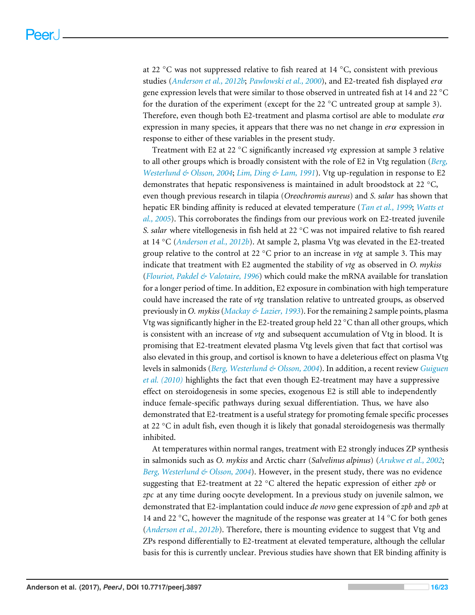at 22  $°C$  was not suppressed relative to fish reared at 14  $°C$ , consistent with previous studies (*[Anderson et al., 2012b](#page-18-3)*; *[Pawlowski et al., 2000](#page-21-11)*), and E2-treated fish displayed *er*α gene expression levels that were similar to those observed in untreated fish at 14 and 22 ◦C for the duration of the experiment (except for the 22  $\degree$ C untreated group at sample 3). Therefore, even though both E2-treatment and plasma cortisol are able to modulate *er*α expression in many species, it appears that there was no net change in *er*α expression in response to either of these variables in the present study.

Treatment with E2 at 22 ◦C significantly increased *vtg* expression at sample 3 relative to all other groups which is broadly consistent with the role of E2 in Vtg regulation (*[Berg,](#page-18-7) [Westerlund & Olsson, 2004](#page-18-7)*; *[Lim, Ding & Lam, 1991](#page-20-9)*). Vtg up-regulation in response to E2 demonstrates that hepatic responsiveness is maintained in adult broodstock at 22 ◦C, even though previous research in tilapia (*Oreochromis aureus*) and *S. salar* has shown that hepatic ER binding affinity is reduced at elevated temperature (*[Tan et al., 1999](#page-22-6)*; *[Watts et](#page-22-7) [al., 2005](#page-22-7)*). This corroborates the findings from our previous work on E2-treated juvenile *S. salar* where vitellogenesis in fish held at 22 ◦C was not impaired relative to fish reared at 14 ◦C (*[Anderson et al., 2012b](#page-18-3)*). At sample 2, plasma Vtg was elevated in the E2-treated group relative to the control at 22 ◦C prior to an increase in *vtg* at sample 3. This may indicate that treatment with E2 augmented the stability of *vtg* as observed in *O. mykiss* (*[Flouriot, Pakdel & Valotaire, 1996](#page-19-10)*) which could make the mRNA available for translation for a longer period of time. In addition, E2 exposure in combination with high temperature could have increased the rate of *vtg* translation relative to untreated groups, as observed previously in *O. mykiss*(*[Mackay & Lazier, 1993](#page-20-10)*). For the remaining 2 sample points, plasma Vtg was significantly higher in the E2-treated group held 22  $\degree$ C than all other groups, which is consistent with an increase of *vtg* and subsequent accumulation of Vtg in blood. It is promising that E2-treatment elevated plasma Vtg levels given that fact that cortisol was also elevated in this group, and cortisol is known to have a deleterious effect on plasma Vtg levels in salmonids (*[Berg, Westerlund & Olsson, 2004](#page-18-7)*). In addition, a recent review *[Guiguen](#page-19-7) [et al. \(2010\)](#page-19-7)* highlights the fact that even though E2-treatment may have a suppressive effect on steroidogenesis in some species, exogenous E2 is still able to independently induce female-specific pathways during sexual differentiation. Thus, we have also demonstrated that E2-treatment is a useful strategy for promoting female specific processes at 22 ◦C in adult fish, even though it is likely that gonadal steroidogenesis was thermally inhibited.

At temperatures within normal ranges, treatment with E2 strongly induces ZP synthesis in salmonids such as *O. mykiss* and Arctic charr (*Salvelinus alpinus*) (*[Arukwe et al., 2002](#page-18-6)*; *[Berg, Westerlund & Olsson, 2004](#page-18-7)*). However, in the present study, there was no evidence suggesting that E2-treatment at 22 ◦C altered the hepatic expression of either *zpb* or *zpc* at any time during oocyte development. In a previous study on juvenile salmon, we demonstrated that E2-implantation could induce *de novo* gene expression of *zpb* and *zpb* at 14 and 22 °C, however the magnitude of the response was greater at 14 °C for both genes (*[Anderson et al., 2012b](#page-18-3)*). Therefore, there is mounting evidence to suggest that Vtg and ZPs respond differentially to E2-treatment at elevated temperature, although the cellular basis for this is currently unclear. Previous studies have shown that ER binding affinity is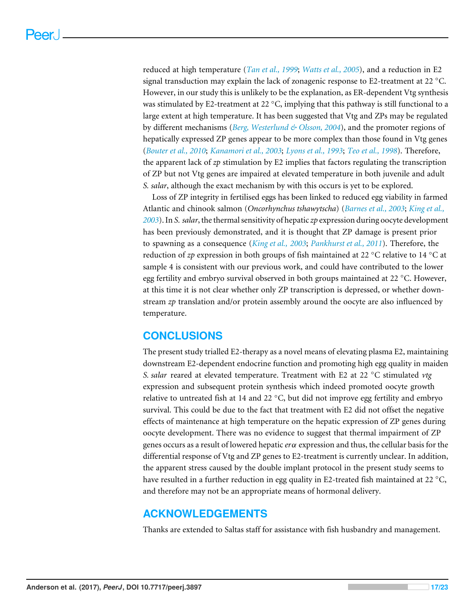reduced at high temperature (*[Tan et al., 1999](#page-22-6)*; *[Watts et al., 2005](#page-22-7)*), and a reduction in E2 signal transduction may explain the lack of zonagenic response to E2-treatment at 22 ◦C. However, in our study this is unlikely to be the explanation, as ER-dependent Vtg synthesis was stimulated by E2-treatment at 22  $\degree$ C, implying that this pathway is still functional to a large extent at high temperature. It has been suggested that Vtg and ZPs may be regulated by different mechanisms (*[Berg, Westerlund & Olsson, 2004](#page-18-7)*), and the promoter regions of hepatically expressed ZP genes appear to be more complex than those found in Vtg genes (*[Bouter et al., 2010](#page-18-8)*; *[Kanamori et al., 2003](#page-19-11)*; *[Lyons et al., 1993](#page-20-11)*; *[Teo et al., 1998](#page-22-8)*). Therefore, the apparent lack of *zp* stimulation by E2 implies that factors regulating the transcription of ZP but not Vtg genes are impaired at elevated temperature in both juvenile and adult *S. salar*, although the exact mechanism by with this occurs is yet to be explored.

Loss of ZP integrity in fertilised eggs has been linked to reduced egg viability in farmed Atlantic and chinook salmon (*Oncorhynchus tshawytscha*) (*[Barnes et al., 2003](#page-18-9)*; *[King et al.,](#page-19-2) [2003](#page-19-2)*). In *S. salar*, the thermal sensitivity of hepatic *zp* expression during oocyte development has been previously demonstrated, and it is thought that ZP damage is present prior to spawning as a consequence (*[King et al.,](#page-19-2) [2003](#page-19-2)*; *[Pankhurst et al., 2011](#page-21-1)*). Therefore, the reduction of *zp* expression in both groups of fish maintained at 22 ◦C relative to 14 ◦C at sample 4 is consistent with our previous work, and could have contributed to the lower egg fertility and embryo survival observed in both groups maintained at 22 ◦C. However, at this time it is not clear whether only ZP transcription is depressed, or whether downstream *zp* translation and/or protein assembly around the oocyte are also influenced by temperature.

# **CONCLUSIONS**

The present study trialled E2-therapy as a novel means of elevating plasma E2, maintaining downstream E2-dependent endocrine function and promoting high egg quality in maiden *S. salar* reared at elevated temperature. Treatment with E2 at 22 ◦C stimulated *vtg* expression and subsequent protein synthesis which indeed promoted oocyte growth relative to untreated fish at 14 and 22  $\degree$ C, but did not improve egg fertility and embryo survival. This could be due to the fact that treatment with E2 did not offset the negative effects of maintenance at high temperature on the hepatic expression of ZP genes during oocyte development. There was no evidence to suggest that thermal impairment of ZP genes occurs as a result of lowered hepatic *er*α expression and thus, the cellular basis for the differential response of Vtg and ZP genes to E2-treatment is currently unclear. In addition, the apparent stress caused by the double implant protocol in the present study seems to have resulted in a further reduction in egg quality in E2-treated fish maintained at 22  $^{\circ}$ C, and therefore may not be an appropriate means of hormonal delivery.

# **ACKNOWLEDGEMENTS**

Thanks are extended to Saltas staff for assistance with fish husbandry and management.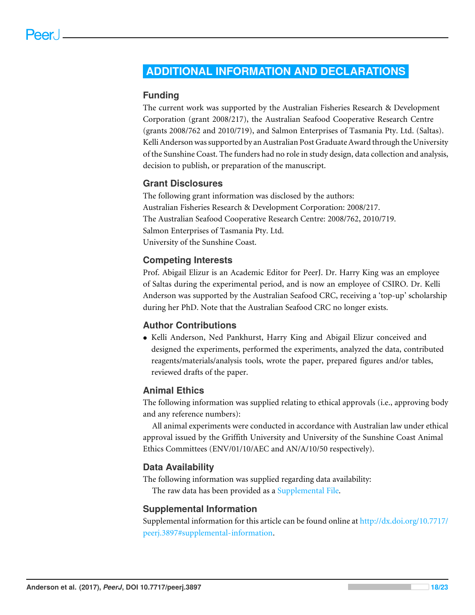# <span id="page-17-0"></span>**ADDITIONAL INFORMATION AND DECLARATIONS**

#### **Funding**

The current work was supported by the Australian Fisheries Research & Development Corporation (grant 2008/217), the Australian Seafood Cooperative Research Centre (grants 2008/762 and 2010/719), and Salmon Enterprises of Tasmania Pty. Ltd. (Saltas). Kelli Anderson was supported by an Australian Post Graduate Award through the University of the Sunshine Coast. The funders had no role in study design, data collection and analysis, decision to publish, or preparation of the manuscript.

#### **Grant Disclosures**

The following grant information was disclosed by the authors: Australian Fisheries Research & Development Corporation: 2008/217. The Australian Seafood Cooperative Research Centre: 2008/762, 2010/719. Salmon Enterprises of Tasmania Pty. Ltd. University of the Sunshine Coast.

#### **Competing Interests**

Prof. Abigail Elizur is an Academic Editor for PeerJ. Dr. Harry King was an employee of Saltas during the experimental period, and is now an employee of CSIRO. Dr. Kelli Anderson was supported by the Australian Seafood CRC, receiving a 'top-up' scholarship during her PhD. Note that the Australian Seafood CRC no longer exists.

#### **Author Contributions**

• [Kelli Anderson,](#page-0-4) [Ned Pankhurst,](#page-0-5) [Harry King](#page-0-6) and [Abigail Elizur](#page-0-7) conceived and designed the experiments, performed the experiments, analyzed the data, contributed reagents/materials/analysis tools, wrote the paper, prepared figures and/or tables, reviewed drafts of the paper.

#### **Animal Ethics**

The following information was supplied relating to ethical approvals (i.e., approving body and any reference numbers):

All animal experiments were conducted in accordance with Australian law under ethical approval issued by the Griffith University and University of the Sunshine Coast Animal Ethics Committees (ENV/01/10/AEC and AN/A/10/50 respectively).

#### **Data Availability**

The following information was supplied regarding data availability: The raw data has been provided as a [Supplemental File.](http://dx.doi.org/10.7717/peerj.3897#supplemental-information)

#### **Supplemental Information**

Supplemental information for this article can be found online at [http://dx.doi.org/10.7717/](http://dx.doi.org/10.7717/peerj.3897#supplemental-information) [peerj.3897#supplemental-information.](http://dx.doi.org/10.7717/peerj.3897#supplemental-information)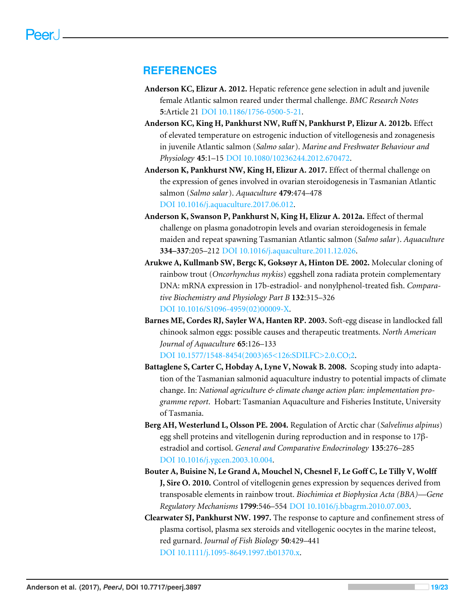### **REFERENCES**

- <span id="page-18-4"></span>**Anderson KC, Elizur A. 2012.** Hepatic reference gene selection in adult and juvenile female Atlantic salmon reared under thermal challenge. *BMC Research Notes* **5**:Article 21 [DOI 10.1186/1756-0500-5-21.](http://dx.doi.org/10.1186/1756-0500-5-21)
- <span id="page-18-3"></span>**Anderson KC, King H, Pankhurst NW, Ruff N, Pankhurst P, Elizur A. 2012b.** Effect of elevated temperature on estrogenic induction of vitellogenesis and zonagenesis in juvenile Atlantic salmon (*Salmo salar*). *Marine and Freshwater Behaviour and Physiology* **45**:1–15 [DOI 10.1080/10236244.2012.670472.](http://dx.doi.org/10.1080/10236244.2012.670472)
- <span id="page-18-1"></span>**Anderson K, Pankhurst NW, King H, Elizur A. 2017.** Effect of thermal challenge on the expression of genes involved in ovarian steroidogenesis in Tasmanian Atlantic salmon (*Salmo salar*). *Aquaculture* **479**:474–478 [DOI 10.1016/j.aquaculture.2017.06.012.](http://dx.doi.org/10.1016/j.aquaculture.2017.06.012)
- <span id="page-18-2"></span>**Anderson K, Swanson P, Pankhurst N, King H, Elizur A. 2012a.** Effect of thermal challenge on plasma gonadotropin levels and ovarian steroidogenesis in female maiden and repeat spawning Tasmanian Atlantic salmon (*Salmo salar*). *Aquaculture* **334–337**:205–212 [DOI 10.1016/j.aquaculture.2011.12.026.](http://dx.doi.org/10.1016/j.aquaculture.2011.12.026)
- <span id="page-18-6"></span>**Arukwe A, Kullmanb SW, Bergc K, Goksøyr A, Hinton DE. 2002.** Molecular cloning of rainbow trout (*Oncorhynchus mykiss*) eggshell zona radiata protein complementary DNA: mRNA expression in 17b-estradiol- and nonylphenol-treated fish. *Comparative Biochemistry and Physiology Part B* **132**:315–326 [DOI 10.1016/S1096-4959\(02\)00009-X.](http://dx.doi.org/10.1016/S1096-4959(02)00009-X)
- <span id="page-18-9"></span>**Barnes ME, Cordes RJ, Sayler WA, Hanten RP. 2003.** Soft-egg disease in landlocked fall chinook salmon eggs: possible causes and therapeutic treatments. *North American Journal of Aquaculture* **65**:126–133

[DOI 10.1577/1548-8454\(2003\)65<126:SDILFC>2.0.CO;2.](http://dx.doi.org/10.1577/1548-8454(2003)65<126:SDILFC>2.0.CO;2)

- <span id="page-18-0"></span>**Battaglene S, Carter C, Hobday A, Lyne V, Nowak B. 2008.** Scoping study into adaptation of the Tasmanian salmonid aquaculture industry to potential impacts of climate change. In: *National agriculture & climate change action plan: implementation programme report*. Hobart: Tasmanian Aquaculture and Fisheries Institute, University of Tasmania.
- <span id="page-18-7"></span>**Berg AH, Westerlund L, Olsson PE. 2004.** Regulation of Arctic char (*Salvelinus alpinus*) egg shell proteins and vitellogenin during reproduction and in response to 17βestradiol and cortisol. *General and Comparative Endocrinology* **135**:276–285 [DOI 10.1016/j.ygcen.2003.10.004.](http://dx.doi.org/10.1016/j.ygcen.2003.10.004)
- <span id="page-18-8"></span>**Bouter A, Buisine N, Le Grand A, Mouchel N, Chesnel F, Le Goff C, Le Tilly V, Wolff J, Sire O. 2010.** Control of vitellogenin genes expression by sequences derived from transposable elements in rainbow trout. *Biochimica et Biophysica Acta (BBA)—Gene Regulatory Mechanisms* **1799**:546–554 [DOI 10.1016/j.bbagrm.2010.07.003.](http://dx.doi.org/10.1016/j.bbagrm.2010.07.003)
- <span id="page-18-5"></span>**Clearwater SJ, Pankhurst NW. 1997.** The response to capture and confinement stress of plasma cortisol, plasma sex steroids and vitellogenic oocytes in the marine teleost, red gurnard. *Journal of Fish Biology* **50**:429–441 [DOI 10.1111/j.1095-8649.1997.tb01370.x.](http://dx.doi.org/10.1111/j.1095-8649.1997.tb01370.x)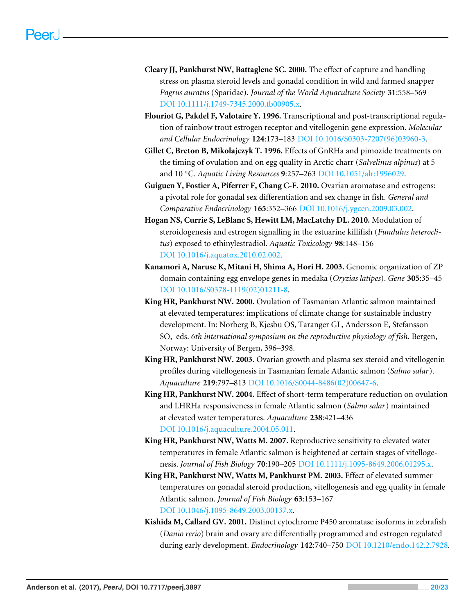- <span id="page-19-5"></span>**Cleary JJ, Pankhurst NW, Battaglene SC. 2000.** The effect of capture and handling stress on plasma steroid levels and gonadal condition in wild and farmed snapper *Pagrus auratus* (Sparidae). *Journal of the World Aquaculture Society* **31**:558–569 [DOI 10.1111/j.1749-7345.2000.tb00905.x.](http://dx.doi.org/10.1111/j.1749-7345.2000.tb00905.x)
- <span id="page-19-10"></span>**Flouriot G, Pakdel F, Valotaire Y. 1996.** Transcriptional and post-transcriptional regulation of rainbow trout estrogen receptor and vitellogenin gene expression. *Molecular and Cellular Endocrinology* **124**:173–183 [DOI 10.1016/S0303-7207\(96\)03960-3.](http://dx.doi.org/10.1016/S0303-7207(96)03960-3)
- <span id="page-19-6"></span>**Gillet C, Breton B, Mikolajczyk T. 1996.** Effects of GnRHa and pimozide treatments on the timing of ovulation and on egg quality in Arctic charr (*Salvelinus alpinus*) at 5 and 10 ◦C. *Aquatic Living Resources* **9**:257–263 [DOI 10.1051/alr:1996029.](http://dx.doi.org/10.1051/alr:1996029)
- <span id="page-19-7"></span>**Guiguen Y, Fostier A, Piferrer F, Chang C-F. 2010.** Ovarian aromatase and estrogens: a pivotal role for gonadal sex differentiation and sex change in fish. *General and Comparative Endocrinology* **165**:352–366 [DOI 10.1016/j.ygcen.2009.03.002.](http://dx.doi.org/10.1016/j.ygcen.2009.03.002)
- <span id="page-19-8"></span>**Hogan NS, Currie S, LeBlanc S, Hewitt LM, MacLatchy DL. 2010.** Modulation of steroidogenesis and estrogen signalling in the estuarine killifish (*Fundulus heteroclitus*) exposed to ethinylestradiol. *Aquatic Toxicology* **98**:148–156 [DOI 10.1016/j.aquatox.2010.02.002.](http://dx.doi.org/10.1016/j.aquatox.2010.02.002)
- <span id="page-19-11"></span>**Kanamori A, Naruse K, Mitani H, Shima A, Hori H. 2003.** Genomic organization of ZP domain containing egg envelope genes in medaka (*Oryzias latipes*). *Gene* **305**:35–45 [DOI 10.1016/S0378-1119\(02\)01211-8.](http://dx.doi.org/10.1016/S0378-1119(02)01211-8)
- <span id="page-19-3"></span>**King HR, Pankhurst NW. 2000.** Ovulation of Tasmanian Atlantic salmon maintained at elevated temperatures: implications of climate change for sustainable industry development. In: Norberg B, Kjesbu OS, Taranger GL, Andersson E, Stefansson SO, eds. *6th international symposium on the reproductive physiology of fish*. Bergen, Norway: University of Bergen, 396–398.
- <span id="page-19-0"></span>**King HR, Pankhurst NW. 2003.** Ovarian growth and plasma sex steroid and vitellogenin profiles during vitellogenesis in Tasmanian female Atlantic salmon (*Salmo salar*). *Aquaculture* **219**:797–813 [DOI 10.1016/S0044-8486\(02\)00647-6.](http://dx.doi.org/10.1016/S0044-8486(02)00647-6)
- <span id="page-19-1"></span>**King HR, Pankhurst NW. 2004.** Effect of short-term temperature reduction on ovulation and LHRHa responsiveness in female Atlantic salmon (*Salmo salar*) maintained at elevated water temperatures. *Aquaculture* **238**:421–436 [DOI 10.1016/j.aquaculture.2004.05.011.](http://dx.doi.org/10.1016/j.aquaculture.2004.05.011)
- <span id="page-19-4"></span>**King HR, Pankhurst NW, Watts M. 2007.** Reproductive sensitivity to elevated water temperatures in female Atlantic salmon is heightened at certain stages of vitellogenesis. *Journal of Fish Biology* **70**:190–205 [DOI 10.1111/j.1095-8649.2006.01295.x.](http://dx.doi.org/10.1111/j.1095-8649.2006.01295.x)
- <span id="page-19-2"></span>**King HR, Pankhurst NW, Watts M, Pankhurst PM. 2003.** Effect of elevated summer temperatures on gonadal steroid production, vitellogenesis and egg quality in female Atlantic salmon. *Journal of Fish Biology* **63**:153–167 [DOI 10.1046/j.1095-8649.2003.00137.x.](http://dx.doi.org/10.1046/j.1095-8649.2003.00137.x)
- <span id="page-19-9"></span>**Kishida M, Callard GV. 2001.** Distinct cytochrome P450 aromatase isoforms in zebrafish (*Danio rerio*) brain and ovary are differentially programmed and estrogen regulated during early development. *Endocrinology* **142**:740–750 [DOI 10.1210/endo.142.2.7928.](http://dx.doi.org/10.1210/endo.142.2.7928)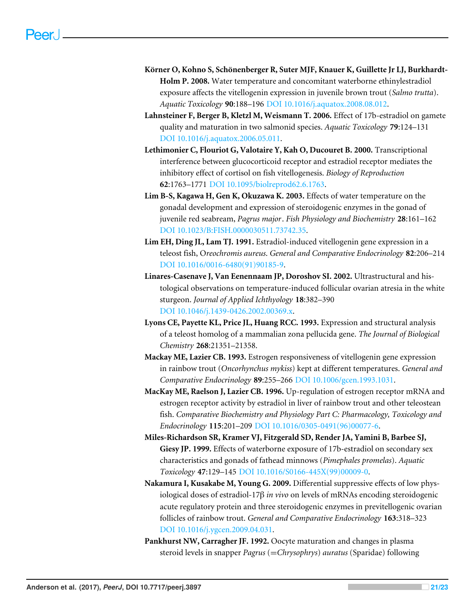- <span id="page-20-0"></span>**Körner O, Kohno S, Schönenberger R, Suter MJF, Knauer K, Guillette Jr LJ, Burkhardt-Holm P. 2008.** Water temperature and concomitant waterborne ethinylestradiol exposure affects the vitellogenin expression in juvenile brown trout (*Salmo trutta*). *Aquatic Toxicology* **90**:188–196 [DOI 10.1016/j.aquatox.2008.08.012.](http://dx.doi.org/10.1016/j.aquatox.2008.08.012)
- <span id="page-20-4"></span>**Lahnsteiner F, Berger B, Kletzl M, Weismann T. 2006.** Effect of 17b-estradiol on gamete quality and maturation in two salmonid species. *Aquatic Toxicology* **79**:124–131 [DOI 10.1016/j.aquatox.2006.05.011.](http://dx.doi.org/10.1016/j.aquatox.2006.05.011)
- <span id="page-20-8"></span>**Lethimonier C, Flouriot G, Valotaire Y, Kah O, Ducouret B. 2000.** Transcriptional interference between glucocorticoid receptor and estradiol receptor mediates the inhibitory effect of cortisol on fish vitellogenesis. *Biology of Reproduction* **62**:1763–1771 [DOI 10.1095/biolreprod62.6.1763.](http://dx.doi.org/10.1095/biolreprod62.6.1763)
- <span id="page-20-5"></span>**Lim B-S, Kagawa H, Gen K, Okuzawa K. 2003.** Effects of water temperature on the gonadal development and expression of steroidogenic enzymes in the gonad of juvenile red seabream, *Pagrus major*. *Fish Physiology and Biochemistry* **28**:161–162 [DOI 10.1023/B:FISH.0000030511.73742.35.](http://dx.doi.org/10.1023/B:FISH.0000030511.73742.35)
- <span id="page-20-9"></span>**Lim EH, Ding JL, Lam TJ. 1991.** Estradiol-induced vitellogenin gene expression in a teleost fish, O*reochromis aureus*. *General and Comparative Endocrinology* **82**:206–214 [DOI 10.1016/0016-6480\(91\)90185-9.](http://dx.doi.org/10.1016/0016-6480(91)90185-9)
- <span id="page-20-2"></span>**Linares-Casenave J, Van Eenennaam JP, Doroshov SI. 2002.** Ultrastructural and histological observations on temperature-induced follicular ovarian atresia in the white sturgeon. *Journal of Applied Ichthyology* **18**:382–390 [DOI 10.1046/j.1439-0426.2002.00369.x.](http://dx.doi.org/10.1046/j.1439-0426.2002.00369.x)
- <span id="page-20-11"></span>**Lyons CE, Payette KL, Price JL, Huang RCC. 1993.** Expression and structural analysis of a teleost homolog of a mammalian zona pellucida gene. *The Journal of Biological Chemistry* **268**:21351–21358.
- <span id="page-20-10"></span>**Mackay ME, Lazier CB. 1993.** Estrogen responsiveness of vitellogenin gene expression in rainbow trout (*Oncorhynchus mykiss*) kept at different temperatures. *General and Comparative Endocrinology* **89**:255–266 [DOI 10.1006/gcen.1993.1031.](http://dx.doi.org/10.1006/gcen.1993.1031)
- <span id="page-20-7"></span>**MacKay ME, Raelson J, Lazier CB. 1996.** Up-regulation of estrogen receptor mRNA and estrogen receptor activity by estradiol in liver of rainbow trout and other teleostean fish. *Comparative Biochemistry and Physiology Part C: Pharmacology, Toxicology and Endocrinology* **115**:201–209 [DOI 10.1016/0305-0491\(96\)00077-6.](http://dx.doi.org/10.1016/0305-0491(96)00077-6)
- <span id="page-20-3"></span>**Miles-Richardson SR, Kramer VJ, Fitzgerald SD, Render JA, Yamini B, Barbee SJ, Giesy JP. 1999.** Effects of waterborne exposure of 17b-estradiol on secondary sex characteristics and gonads of fathead minnows (*Pimephales promelas*). *Aquatic Toxicology* **47**:129–145 [DOI 10.1016/S0166-445X\(99\)00009-0.](http://dx.doi.org/10.1016/S0166-445X(99)00009-0)
- <span id="page-20-6"></span>**Nakamura I, Kusakabe M, Young G. 2009.** Differential suppressive effects of low physiological doses of estradiol-17β *in vivo* on levels of mRNAs encoding steroidogenic acute regulatory protein and three steroidogenic enzymes in previtellogenic ovarian follicles of rainbow trout. *General and Comparative Endocrinology* **163**:318–323 [DOI 10.1016/j.ygcen.2009.04.031.](http://dx.doi.org/10.1016/j.ygcen.2009.04.031)
- <span id="page-20-1"></span>**Pankhurst NW, Carragher JF. 1992.** Oocyte maturation and changes in plasma steroid levels in snapper *Pagrus* (=*Chrysophrys*) *auratus* (Sparidae) following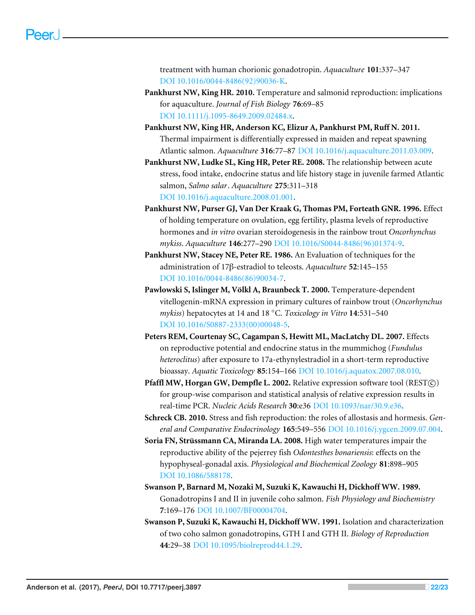treatment with human chorionic gonadotropin. *Aquaculture* **101**:337–347 [DOI 10.1016/0044-8486\(92\)90036-K.](http://dx.doi.org/10.1016/0044-8486(92)90036-K)

- <span id="page-21-3"></span>**Pankhurst NW, King HR. 2010.** Temperature and salmonid reproduction: implications for aquaculture. *Journal of Fish Biology* **76**:69–85 [DOI 10.1111/j.1095-8649.2009.02484.x.](http://dx.doi.org/10.1111/j.1095-8649.2009.02484.x)
- <span id="page-21-1"></span>**Pankhurst NW, King HR, Anderson KC, Elizur A, Pankhurst PM, Ruff N. 2011.** Thermal impairment is differentially expressed in maiden and repeat spawning Atlantic salmon. *Aquaculture* **316**:77–87 [DOI 10.1016/j.aquaculture.2011.03.009.](http://dx.doi.org/10.1016/j.aquaculture.2011.03.009)
- <span id="page-21-6"></span>**Pankhurst NW, Ludke SL, King HR, Peter RE. 2008.** The relationship between acute stress, food intake, endocrine status and life history stage in juvenile farmed Atlantic salmon, *Salmo salar*. *Aquaculture* **275**:311–318 [DOI 10.1016/j.aquaculture.2008.01.001.](http://dx.doi.org/10.1016/j.aquaculture.2008.01.001)
- <span id="page-21-2"></span>**Pankhurst NW, Purser GJ, Van Der Kraak G, Thomas PM, Forteath GNR. 1996.** Effect of holding temperature on ovulation, egg fertility, plasma levels of reproductive hormones and *in vitro* ovarian steroidogenesis in the rainbow trout *Oncorhynchus mykiss*. *Aquaculture* **146**:277–290 [DOI 10.1016/S0044-8486\(96\)01374-9.](http://dx.doi.org/10.1016/S0044-8486(96)01374-9)
- <span id="page-21-9"></span>**Pankhurst NW, Stacey NE, Peter RE. 1986.** An Evaluation of techniques for the administration of 17β-estradiol to teleosts. *Aquaculture* **52**:145–155 [DOI 10.1016/0044-8486\(86\)90034-7.](http://dx.doi.org/10.1016/0044-8486(86)90034-7)
- <span id="page-21-11"></span>**Pawlowski S, Islinger M, Völkl A, Braunbeck T. 2000.** Temperature-dependent vitellogenin-mRNA expression in primary cultures of rainbow trout (*Oncorhynchus mykiss*) hepatocytes at 14 and 18 ◦C. *Toxicology in Vitro* **14**:531–540 [DOI 10.1016/S0887-2333\(00\)00048-5.](http://dx.doi.org/10.1016/S0887-2333(00)00048-5)
- <span id="page-21-8"></span>**Peters REM, Courtenay SC, Cagampan S, Hewitt ML, MacLatchy DL. 2007.** Effects on reproductive potential and endocrine status in the mummichog (*Fundulus heteroclitus*) after exposure to 17a-ethynylestradiol in a short-term reproductive bioassay. *Aquatic Toxicology* **85**:154–166 [DOI 10.1016/j.aquatox.2007.08.010.](http://dx.doi.org/10.1016/j.aquatox.2007.08.010)
- <span id="page-21-7"></span>**Pfaffl MW, Horgan GW, Dempfle L. 2002.** Relative expression software tool (REST $\odot$ ) for group-wise comparison and statistical analysis of relative expression results in real-time PCR. *Nucleic Acids Research* **30**:e36 [DOI 10.1093/nar/30.9.e36.](http://dx.doi.org/10.1093/nar/30.9.e36)
- <span id="page-21-10"></span>**Schreck CB. 2010.** Stress and fish reproduction: the roles of allostasis and hormesis. *General and Comparative Endocrinology* **165**:549–556 [DOI 10.1016/j.ygcen.2009.07.004.](http://dx.doi.org/10.1016/j.ygcen.2009.07.004)
- <span id="page-21-0"></span>**Soria FN, Strüssmann CA, Miranda LA. 2008.** High water temperatures impair the reproductive ability of the pejerrey fish *Odontesthes bonariensis*: effects on the hypophyseal-gonadal axis. *Physiological and Biochemical Zoology* **81**:898–905 [DOI 10.1086/588178.](http://dx.doi.org/10.1086/588178)
- <span id="page-21-4"></span>**Swanson P, Barnard M, Nozaki M, Suzuki K, Kawauchi H, Dickhoff WW. 1989.** Gonadotropins I and II in juvenile coho salmon. *Fish Physiology and Biochemistry* **7**:169–176 [DOI 10.1007/BF00004704.](http://dx.doi.org/10.1007/BF00004704)
- <span id="page-21-5"></span>**Swanson P, Suzuki K, Kawauchi H, Dickhoff WW. 1991.** Isolation and characterization of two coho salmon gonadotropins, GTH I and GTH II. *Biology of Reproduction* **44**:29–38 [DOI 10.1095/biolreprod44.1.29.](http://dx.doi.org/10.1095/biolreprod44.1.29)